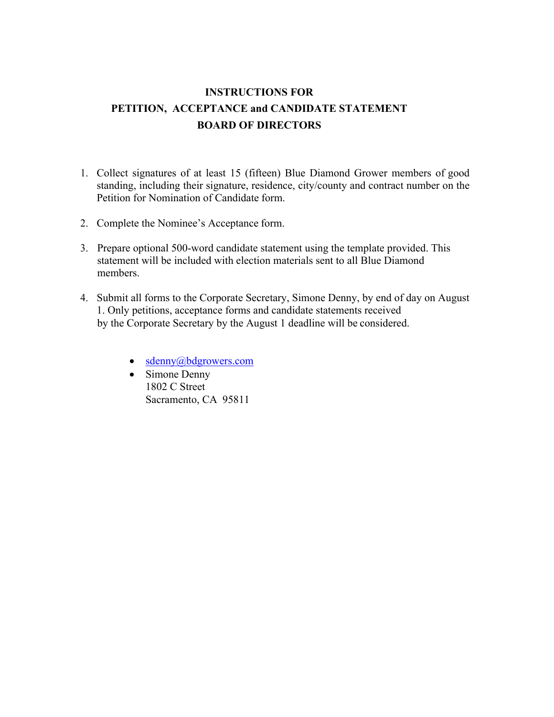# **INSTRUCTIONS FOR PETITION, ACCEPTANCE and CANDIDATE STATEMENT BOARD OF DIRECTORS**

- 1. Collect signatures of at least 15 (fifteen) Blue Diamond Grower members of good standing, including their signature, residence, city/county and contract number on the Petition for Nomination of Candidate form.
- 2. Complete the Nominee's Acceptance form.
- 3. Prepare optional 500-word candidate statement using the template provided. This statement will be included with election materials sent to all Blue Diamond members.
- 4. Submit all forms to the Corporate Secretary, Simone Denny, by end of day on August 1. Only petitions, acceptance forms and candidate statements received by the Corporate Secretary by the August 1 deadline will be considered.
	- [sdenny@bdgrowers.com](mailto:sdenny@bdgrowers.com)
	- Simone Denny 1802 C Street Sacramento, CA 95811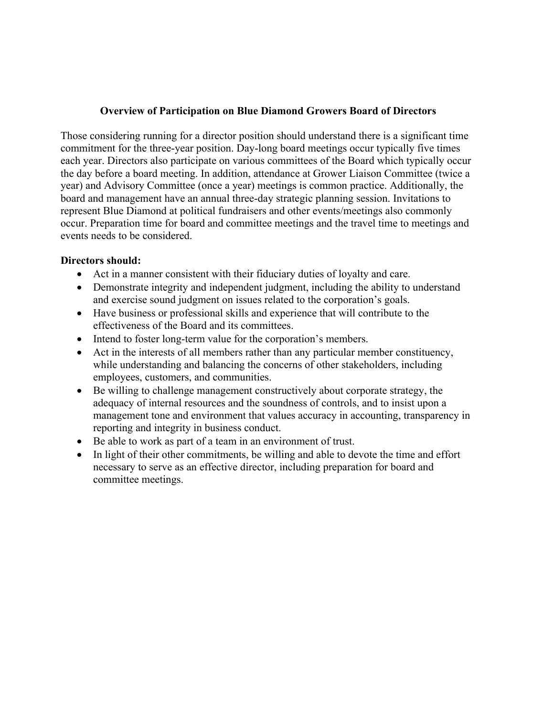## **Overview of Participation on Blue Diamond Growers Board of Directors**

Those considering running for a director position should understand there is a significant time commitment for the three-year position. Day-long board meetings occur typically five times each year. Directors also participate on various committees of the Board which typically occur the day before a board meeting. In addition, attendance at Grower Liaison Committee (twice a year) and Advisory Committee (once a year) meetings is common practice. Additionally, the board and management have an annual three-day strategic planning session. Invitations to represent Blue Diamond at political fundraisers and other events/meetings also commonly occur. Preparation time for board and committee meetings and the travel time to meetings and events needs to be considered.

## **Directors should:**

- Act in a manner consistent with their fiduciary duties of loyalty and care.
- Demonstrate integrity and independent judgment, including the ability to understand and exercise sound judgment on issues related to the corporation's goals.
- Have business or professional skills and experience that will contribute to the effectiveness of the Board and its committees.
- Intend to foster long-term value for the corporation's members.
- Act in the interests of all members rather than any particular member constituency, while understanding and balancing the concerns of other stakeholders, including employees, customers, and communities.
- Be willing to challenge management constructively about corporate strategy, the adequacy of internal resources and the soundness of controls, and to insist upon a management tone and environment that values accuracy in accounting, transparency in reporting and integrity in business conduct.
- Be able to work as part of a team in an environment of trust.
- In light of their other commitments, be willing and able to devote the time and effort necessary to serve as an effective director, including preparation for board and committee meetings.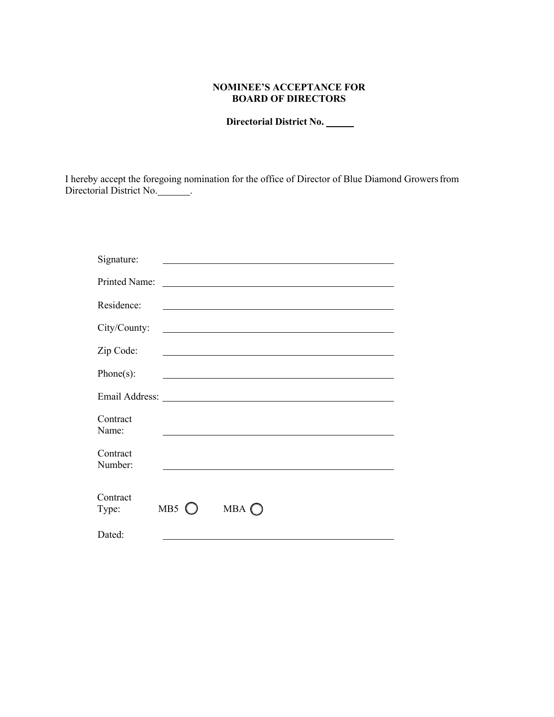### **NOMINEE'S ACCEPTANCE FOR BOARD OF DIRECTORS**

 **Directorial District No.** 

Directorial District No. I hereby accept the foregoing nomination for the office of Director of Blue Diamond Growersfrom

| Signature:                                                                                                                                                                                                                     |                |                                                                                                                       |  |  |
|--------------------------------------------------------------------------------------------------------------------------------------------------------------------------------------------------------------------------------|----------------|-----------------------------------------------------------------------------------------------------------------------|--|--|
| <b>Printed Name:</b>                                                                                                                                                                                                           |                | <u> 1980 - Johann Barbara, martin amerikan basal dan berasal dalam basal dalam basal dalam basal dalam basal dala</u> |  |  |
| Residence:                                                                                                                                                                                                                     |                |                                                                                                                       |  |  |
| City/County:                                                                                                                                                                                                                   |                | <u> 1980 - Andrea Branden, amerikan basar basa dan berasal dan berasal dalam basa dalam basa dalam basa dalam ba</u>  |  |  |
| Zip Code:                                                                                                                                                                                                                      |                | and the control of the control of the control of the control of the control of the control of the control of the      |  |  |
| $Phone(s)$ :                                                                                                                                                                                                                   |                | and the control of the control of the control of the control of the control of the control of the control of the      |  |  |
| Email Address: No. 2014 19:30 and 2014 19:30 and 20:30 and 20:30 and 20:30 and 20:30 and 20:30 and 20:30 and 20:30 and 20:30 and 20:30 and 20:30 and 20:30 and 20:30 and 20:30 and 20:30 and 20:30 and 20:30 and 20:30 and 20: |                |                                                                                                                       |  |  |
| Contract<br>Name:                                                                                                                                                                                                              |                |                                                                                                                       |  |  |
| Contract<br>Number:                                                                                                                                                                                                            |                |                                                                                                                       |  |  |
| Contract<br>Type:                                                                                                                                                                                                              | MB5 $\bigcirc$ | $MBA$ $\bigcirc$                                                                                                      |  |  |
| Dated:                                                                                                                                                                                                                         |                |                                                                                                                       |  |  |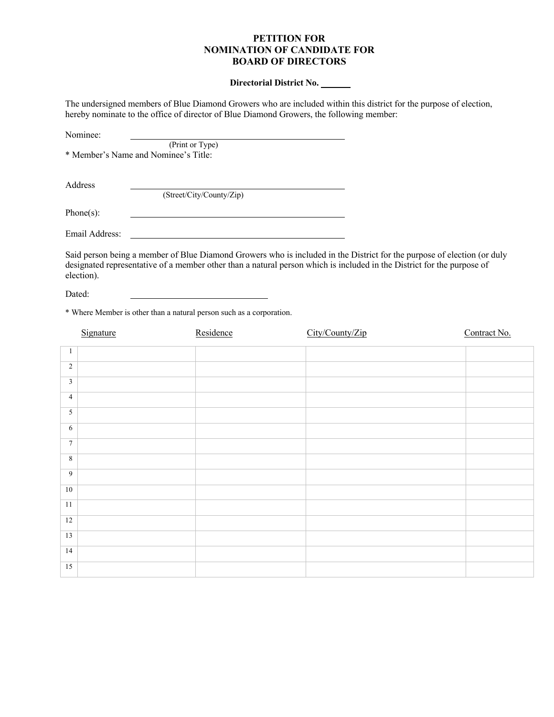#### **PETITION FOR NOMINATION OF CANDIDATE FOR BOARD OF DIRECTORS**

#### **Directorial District No.**

 The undersigned members of Blue Diamond Growers who are included within this district for the purpose of election, hereby nominate to the office of director of Blue Diamond Growers, the following member:

| Nominee:       |                                      |  |
|----------------|--------------------------------------|--|
|                | (Print or Type)                      |  |
|                | * Member's Name and Nominee's Title: |  |
|                |                                      |  |
| Address        |                                      |  |
|                | (Street/City/County/Zip)             |  |
| Phone $(s)$ :  |                                      |  |
| Email Address: |                                      |  |

 Said person being a member of Blue Diamond Growers who is included in the District for the purpose of election (or duly designated representative of a member other than a natural person which is included in the District for the purpose of election).

Dated:

\* Where Member is other than a natural person such as a corporation.

|                 | Signature | Residence | City/County/Zip | Contract No. |
|-----------------|-----------|-----------|-----------------|--------------|
|                 |           |           |                 |              |
| 1               |           |           |                 |              |
| $\overline{2}$  |           |           |                 |              |
| $\mathfrak{Z}$  |           |           |                 |              |
| $\overline{4}$  |           |           |                 |              |
| $\overline{5}$  |           |           |                 |              |
| 6               |           |           |                 |              |
| $7\phantom{.0}$ |           |           |                 |              |
| $\sqrt{8}$      |           |           |                 |              |
| $\overline{9}$  |           |           |                 |              |
| $10\,$          |           |           |                 |              |
| 11              |           |           |                 |              |
| 12              |           |           |                 |              |
| 13              |           |           |                 |              |
| 14              |           |           |                 |              |
| $15\,$          |           |           |                 |              |